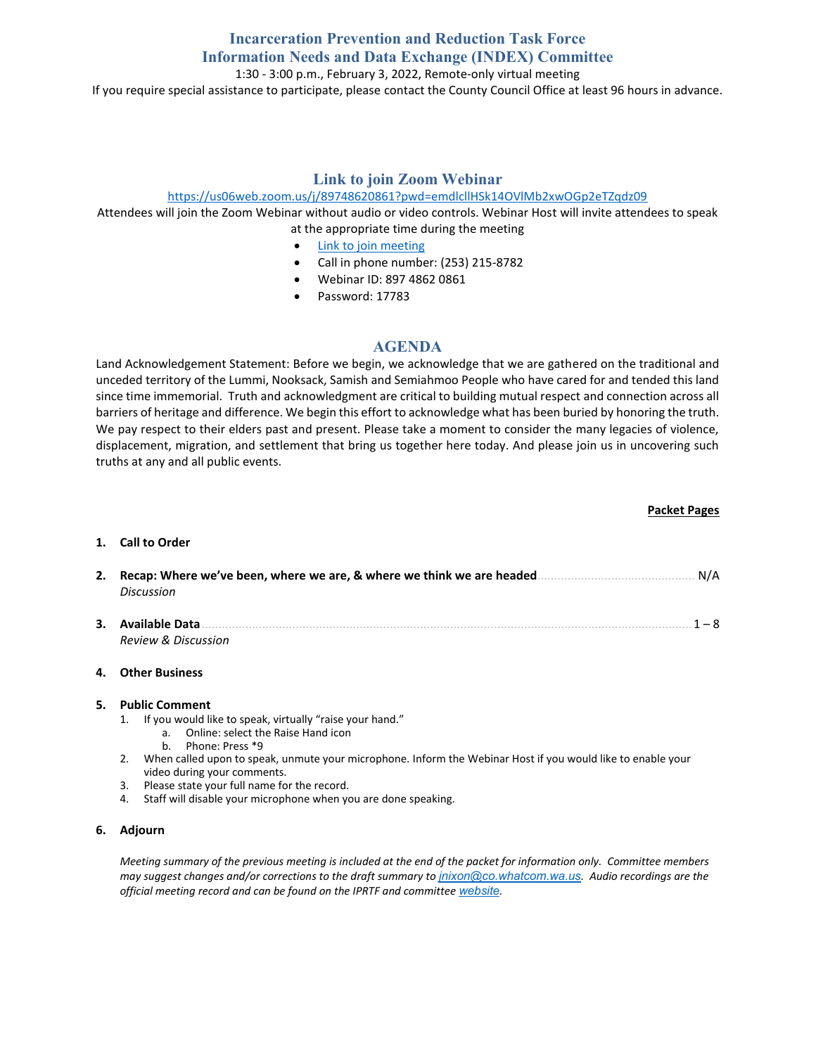## **Incarceration Prevention and Reduction Task Force Information Needs and Data Exchange (INDEX) Committee**

1:30 - 3:00 p.m., February 3, 2022, Remote-only virtual meeting

If you require special assistance to participate, please contact the County Council Office at least 96 hours in advance.

### **Link to join Zoom Webinar**

### <https://us06web.zoom.us/j/89748620861?pwd=emdlcllHSk14OVlMb2xwOGp2eTZqdz09>

Attendees will join the Zoom Webinar without audio or video controls. Webinar Host will invite attendees to speak at the appropriate time during the meeting

- [Link to join meeting](https://us06web.zoom.us/j/89748620861?pwd=emdlcllHSk14OVlMb2xwOGp2eTZqdz09)
- Call in phone number: (253) 215-8782
- Webinar ID: 897 4862 0861
- Password: 17783

## **AGENDA**

Land Acknowledgement Statement: Before we begin, we acknowledge that we are gathered on the traditional and unceded territory of the Lummi, Nooksack, Samish and Semiahmoo People who have cared for and tended this land since time immemorial. Truth and acknowledgment are critical to building mutual respect and connection across all barriers of heritage and difference. We begin this effort to acknowledge what has been buried by honoring the truth. We pay respect to their elders past and present. Please take a moment to consider the many legacies of violence, displacement, migration, and settlement that bring us together here today. And please join us in uncovering such truths at any and all public events.

### **Packet Pages**

# **1. Call to Order 2. Recap: Where we've been, where we are, & where we think we are headed**............................................... N/A *Discussion* **3. Available Data**..................................................................................................................................................1 – 8 *Review & Discussion* **4. Other Business**

### **5. Public Comment**

- 1. If you would like to speak, virtually "raise your hand."
	- a. Online: select the Raise Hand icon
	- b. Phone: Press \*9
- 2. When called upon to speak, unmute your microphone. Inform the Webinar Host if you would like to enable your video during your comments.
- 3. Please state your full name for the record.
- 4. Staff will disable your microphone when you are done speaking.

### **6. Adjourn**

*Meeting summary of the previous meeting is included at the end of the packet for information only. Committee members may suggest changes and/or corrections to the draft summary to [jnixon@co.whatcom.wa.us](mailto:jnixon@co.whatcom.wa.us). Audio recordings are the official meeting record and can be found on the IPRTF and committee [website](http://www.co.whatcom.wa.us/2052/Incarceration-Prevention-and-Reduction-T).*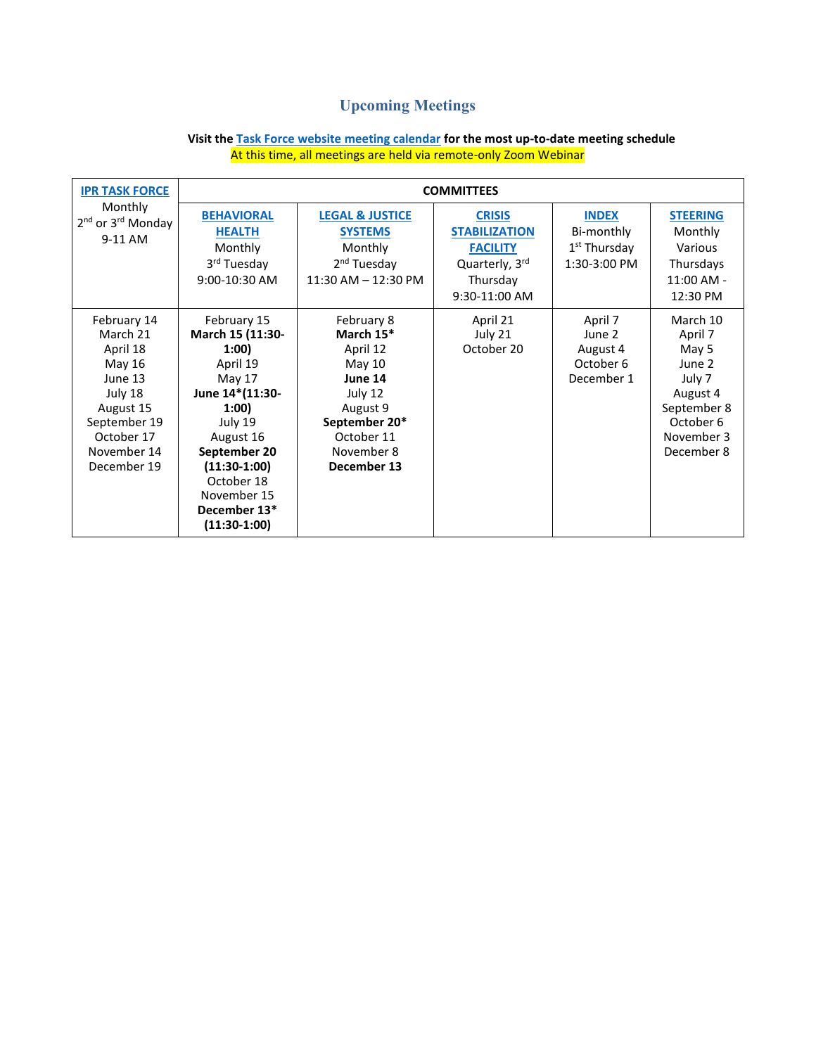## **Upcoming Meetings**

| <b>IPR TASK FORCE</b>                                                                                                                        |                                                                                                                                                                                                                    |                                                                                                                                             | <b>COMMITTEES</b>                                                                                       |                                                                        |                                                                                                                      |
|----------------------------------------------------------------------------------------------------------------------------------------------|--------------------------------------------------------------------------------------------------------------------------------------------------------------------------------------------------------------------|---------------------------------------------------------------------------------------------------------------------------------------------|---------------------------------------------------------------------------------------------------------|------------------------------------------------------------------------|----------------------------------------------------------------------------------------------------------------------|
| Monthly<br>2 <sup>nd</sup> or 3 <sup>rd</sup> Monday<br>9-11 AM                                                                              | <b>BEHAVIORAL</b><br><b>HEALTH</b><br>Monthly<br>3 <sup>rd</sup> Tuesday<br>9:00-10:30 AM                                                                                                                          | <b>LEGAL &amp; JUSTICE</b><br><b>SYSTEMS</b><br>Monthly<br>2 <sup>nd</sup> Tuesday<br>$11:30$ AM $- 12:30$ PM                               | <b>CRISIS</b><br><b>STABILIZATION</b><br><b>FACILITY</b><br>Quarterly, 3rd<br>Thursday<br>9:30-11:00 AM | <b>INDEX</b><br>Bi-monthly<br>1 <sup>st</sup> Thursday<br>1:30-3:00 PM | <b>STEERING</b><br>Monthly<br>Various<br>Thursdays<br>11:00 AM -<br>12:30 PM                                         |
| February 14<br>March 21<br>April 18<br>May 16<br>June 13<br>July 18<br>August 15<br>September 19<br>October 17<br>November 14<br>December 19 | February 15<br>March 15 (11:30-<br>1:00<br>April 19<br>May 17<br>June 14*(11:30-<br>1:00)<br>July 19<br>August 16<br>September 20<br>$(11:30-1:00)$<br>October 18<br>November 15<br>December 13*<br>$(11:30-1:00)$ | February 8<br>March 15*<br>April 12<br>May 10<br>June 14<br>July 12<br>August 9<br>September 20*<br>October 11<br>November 8<br>December 13 | April 21<br>July 21<br>October 20                                                                       | April 7<br>June 2<br>August 4<br>October 6<br>December 1               | March 10<br>April 7<br>May 5<br>June 2<br>July 7<br>August 4<br>September 8<br>October 6<br>November 3<br>December 8 |

## **Visit th[e Task Force website meeting calendar](https://www.whatcomcounty.us/calendar.aspx?CID=40,) for the most up-to-date meeting schedule** At this time, all meetings are held via remote-only Zoom Webinar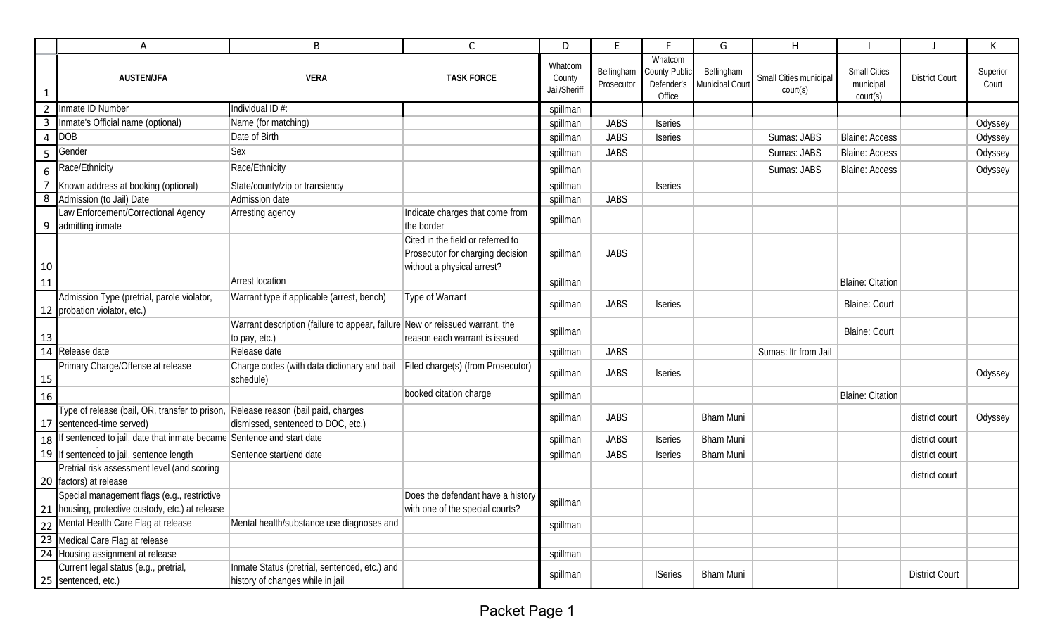|    | Α                                                                                                              | B                                                                                             | C                                                                                                   | D                                 | E                        | F.                                                      | G                             | H                                  |                                              |                       | К                 |
|----|----------------------------------------------------------------------------------------------------------------|-----------------------------------------------------------------------------------------------|-----------------------------------------------------------------------------------------------------|-----------------------------------|--------------------------|---------------------------------------------------------|-------------------------------|------------------------------------|----------------------------------------------|-----------------------|-------------------|
| 1  | <b>AUSTEN/JFA</b>                                                                                              | <b>VERA</b>                                                                                   | <b>TASK FORCE</b>                                                                                   | Whatcom<br>County<br>Jail/Sheriff | Bellingham<br>Prosecutor | Whatcom<br><b>County Publid</b><br>Defender's<br>Office | Bellingham<br>Municipal Court | Small Cities municipal<br>court(s) | <b>Small Cities</b><br>municipal<br>court(s) | <b>District Court</b> | Superior<br>Court |
|    | Inmate ID Number                                                                                               | Individual ID #:                                                                              |                                                                                                     | spillman                          |                          |                                                         |                               |                                    |                                              |                       |                   |
| 3  | Inmate's Official name (optional)                                                                              | Name (for matching)                                                                           |                                                                                                     | spillman                          | <b>JABS</b>              | Iseries                                                 |                               |                                    |                                              |                       | Odyssey           |
| 4  | DOB                                                                                                            | Date of Birth                                                                                 |                                                                                                     | spillman                          | <b>JABS</b>              | Iseries                                                 |                               | Sumas: JABS                        | <b>Blaine: Access</b>                        |                       | Odyssey           |
| 5  | Gender                                                                                                         | <b>Sex</b>                                                                                    |                                                                                                     | spillman                          | <b>JABS</b>              |                                                         |                               | Sumas: JABS                        | <b>Blaine: Access</b>                        |                       | Odyssey           |
| 6  | Race/Ethnicity                                                                                                 | Race/Ethnicity                                                                                |                                                                                                     | spillman                          |                          |                                                         |                               | Sumas: JABS                        | <b>Blaine: Access</b>                        |                       | Odyssey           |
|    | Known address at booking (optional)                                                                            | State/county/zip or transiency                                                                |                                                                                                     | spillman                          |                          | Iseries                                                 |                               |                                    |                                              |                       |                   |
| 8  | Admission (to Jail) Date                                                                                       | Admission date                                                                                |                                                                                                     | spillman                          | <b>JABS</b>              |                                                         |                               |                                    |                                              |                       |                   |
| 9  | Law Enforcement/Correctional Agency<br>admitting inmate                                                        | Arresting agency                                                                              | Indicate charges that come from<br>the border                                                       | spillman                          |                          |                                                         |                               |                                    |                                              |                       |                   |
| 10 |                                                                                                                |                                                                                               | Cited in the field or referred to<br>Prosecutor for charging decision<br>without a physical arrest? | spillman                          | <b>JABS</b>              |                                                         |                               |                                    |                                              |                       |                   |
| 11 |                                                                                                                | <b>Arrest location</b>                                                                        |                                                                                                     | spillman                          |                          |                                                         |                               |                                    | <b>Blaine: Citation</b>                      |                       |                   |
|    | Admission Type (pretrial, parole violator,<br>12 probation violator, etc.)                                     | Warrant type if applicable (arrest, bench)                                                    | Type of Warrant                                                                                     | spillman                          | <b>JABS</b>              | Iseries                                                 |                               |                                    | <b>Blaine: Court</b>                         |                       |                   |
| 13 |                                                                                                                | Warrant description (failure to appear, failure New or reissued warrant, the<br>to pay, etc.) | reason each warrant is issued                                                                       | spillman                          |                          |                                                         |                               |                                    | <b>Blaine: Court</b>                         |                       |                   |
|    | 14 Release date                                                                                                | Release date                                                                                  |                                                                                                     | spillman                          | <b>JABS</b>              |                                                         |                               | Sumas: Itr from Jail               |                                              |                       |                   |
| 15 | Primary Charge/Offense at release                                                                              | Charge codes (with data dictionary and bail<br>schedule)                                      | Filed charge(s) (from Prosecutor)                                                                   | spillman                          | <b>JABS</b>              | Iseries                                                 |                               |                                    |                                              |                       | Odyssey           |
| 16 |                                                                                                                |                                                                                               | booked citation charge                                                                              | spillman                          |                          |                                                         |                               |                                    | <b>Blaine: Citation</b>                      |                       |                   |
|    | Type of release (bail, OR, transfer to prison, Release reason (bail paid, charges<br>17 sentenced-time served) | dismissed, sentenced to DOC, etc.)                                                            |                                                                                                     | spillman                          | <b>JABS</b>              |                                                         | <b>Bham Muni</b>              |                                    |                                              | district court        | Odyssey           |
|    | 18 If sentenced to jail, date that inmate became Sentence and start date                                       |                                                                                               |                                                                                                     | spillman                          | <b>JABS</b>              | Iseries                                                 | <b>Bham Muni</b>              |                                    |                                              | district court        |                   |
|    | 19 If sentenced to jail, sentence length                                                                       | Sentence start/end date                                                                       |                                                                                                     | spillman                          | <b>JABS</b>              | Iseries                                                 | <b>Bham Muni</b>              |                                    |                                              | district court        |                   |
|    | Pretrial risk assessment level (and scoring<br>20 factors) at release                                          |                                                                                               |                                                                                                     |                                   |                          |                                                         |                               |                                    |                                              | district court        |                   |
|    | Special management flags (e.g., restrictive<br>21   housing, protective custody, etc.) at release              |                                                                                               | Does the defendant have a history<br>with one of the special courts?                                | spillman                          |                          |                                                         |                               |                                    |                                              |                       |                   |
|    | 22 Mental Health Care Flag at release                                                                          | Mental health/substance use diagnoses and                                                     |                                                                                                     | spillman                          |                          |                                                         |                               |                                    |                                              |                       |                   |
|    | 23 Medical Care Flag at release                                                                                |                                                                                               |                                                                                                     |                                   |                          |                                                         |                               |                                    |                                              |                       |                   |
|    | 24 Housing assignment at release                                                                               |                                                                                               |                                                                                                     | spillman                          |                          |                                                         |                               |                                    |                                              |                       |                   |
|    | Current legal status (e.g., pretrial,<br>25   sentenced, etc.)                                                 | Inmate Status (pretrial, sentenced, etc.) and<br>history of changes while in jail             |                                                                                                     | spillman                          |                          | <b>ISeries</b>                                          | <b>Bham Muni</b>              |                                    |                                              | <b>District Court</b> |                   |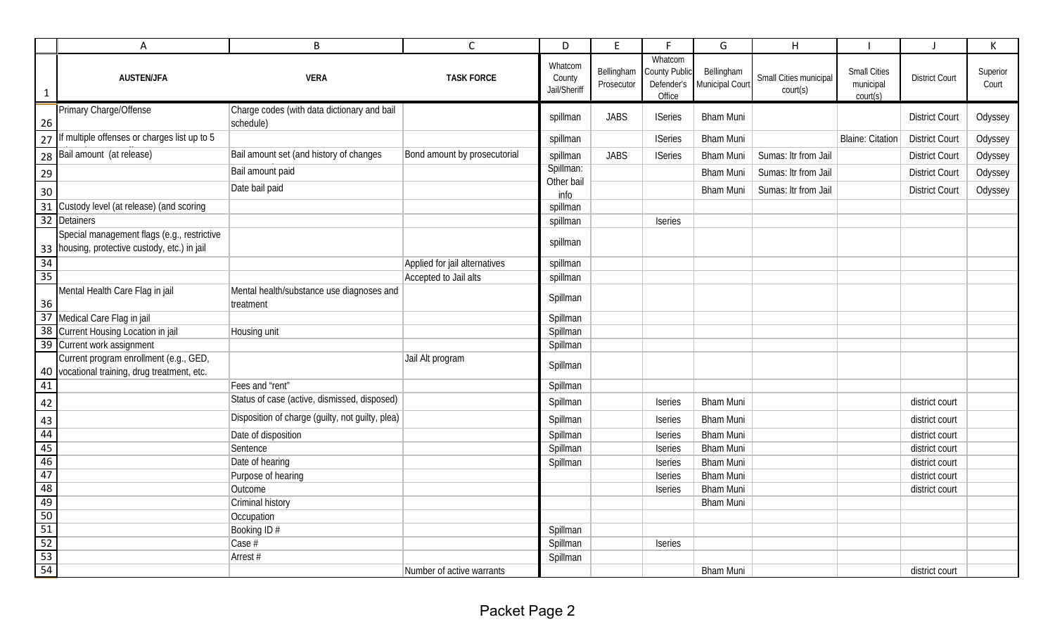|                 | A                                                                                         | B                                                        | C                             | D                                 | E                        | F.                                               | G                             | H                                  |                                              | $\mathbf{I}$          | К                 |
|-----------------|-------------------------------------------------------------------------------------------|----------------------------------------------------------|-------------------------------|-----------------------------------|--------------------------|--------------------------------------------------|-------------------------------|------------------------------------|----------------------------------------------|-----------------------|-------------------|
| $\mathbf{1}$    | <b>AUSTEN/JFA</b>                                                                         | <b>VERA</b>                                              | <b>TASK FORCE</b>             | Whatcom<br>County<br>Jail/Sheriff | Bellingham<br>Prosecutor | Whatcom<br>County Public<br>Defender's<br>Office | Bellingham<br>Municipal Court | Small Cities municipal<br>court(s) | <b>Small Cities</b><br>municipal<br>court(s) | <b>District Court</b> | Superior<br>Court |
| 26              | Primary Charge/Offense                                                                    | Charge codes (with data dictionary and bail<br>schedule) |                               | spillman                          | <b>JABS</b>              | <b>ISeries</b>                                   | <b>Bham Muni</b>              |                                    |                                              | <b>District Court</b> | Odyssey           |
| 27              | f multiple offenses or charges list up to 5                                               |                                                          |                               | spillman                          |                          | <b>ISeries</b>                                   | <b>Bham Muni</b>              |                                    | <b>Blaine: Citation</b>                      | <b>District Court</b> | Odyssey           |
| 28              | Bail amount (at release)                                                                  | Bail amount set (and history of changes                  | Bond amount by prosecutorial  | spillman                          | <b>JABS</b>              | <b>ISeries</b>                                   | <b>Bham Muni</b>              | Sumas: Itr from Jail               |                                              | <b>District Court</b> | Odyssey           |
| 29              |                                                                                           | Bail amount paid                                         |                               | Spillman:                         |                          |                                                  | <b>Bham Muni</b>              | Sumas: Itr from Jail               |                                              | <b>District Court</b> | Odyssey           |
| 30              |                                                                                           | Date bail paid                                           |                               | Other bail<br>info                |                          |                                                  | <b>Bham Muni</b>              | Sumas: Itr from Jail               |                                              | <b>District Court</b> | Odyssey           |
| $\overline{31}$ | Custody level (at release) (and scoring                                                   |                                                          |                               | spillman                          |                          |                                                  |                               |                                    |                                              |                       |                   |
| 32              | <b>Detainers</b>                                                                          |                                                          |                               | spillman                          |                          | <b>Iseries</b>                                   |                               |                                    |                                              |                       |                   |
| 33              | Special management flags (e.g., restrictive<br>housing, protective custody, etc.) in jail |                                                          |                               | spillman                          |                          |                                                  |                               |                                    |                                              |                       |                   |
| $\frac{34}{35}$ |                                                                                           |                                                          | Applied for jail alternatives | spillman                          |                          |                                                  |                               |                                    |                                              |                       |                   |
|                 |                                                                                           |                                                          | Accepted to Jail alts         | spillman                          |                          |                                                  |                               |                                    |                                              |                       |                   |
| 36              | Mental Health Care Flag in jail                                                           | Mental health/substance use diagnoses and<br>treatment   |                               | Spillman                          |                          |                                                  |                               |                                    |                                              |                       |                   |
| $\overline{37}$ | Medical Care Flag in jail                                                                 |                                                          |                               | Spillman                          |                          |                                                  |                               |                                    |                                              |                       |                   |
| $\overline{38}$ | Current Housing Location in jail                                                          | Housing unit                                             |                               | Spillman                          |                          |                                                  |                               |                                    |                                              |                       |                   |
| 39              | Current work assignment                                                                   |                                                          |                               | Spillman                          |                          |                                                  |                               |                                    |                                              |                       |                   |
| 40              | Current program enrollment (e.g., GED,<br>vocational training, drug treatment, etc.       |                                                          | Jail Alt program              | Spillman                          |                          |                                                  |                               |                                    |                                              |                       |                   |
| 41              |                                                                                           | Fees and "rent"                                          |                               | Spillman                          |                          |                                                  |                               |                                    |                                              |                       |                   |
| 42              |                                                                                           | Status of case (active, dismissed, disposed)             |                               | Spillman                          |                          | Iseries                                          | <b>Bham Muni</b>              |                                    |                                              | district court        |                   |
| 43              |                                                                                           | Disposition of charge (guilty, not guilty, plea)         |                               | Spillman                          |                          | Iseries                                          | <b>Bham Muni</b>              |                                    |                                              | district court        |                   |
| 44              |                                                                                           | Date of disposition                                      |                               | Spillman                          |                          | Iseries                                          | <b>Bham Muni</b>              |                                    |                                              | district court        |                   |
| 45              |                                                                                           | Sentence                                                 |                               | Spillman                          |                          | Iseries                                          | <b>Bham Muni</b>              |                                    |                                              | district court        |                   |
| 46              |                                                                                           | Date of hearing                                          |                               | Spillman                          |                          | Iseries                                          | <b>Bham Muni</b>              |                                    |                                              | district court        |                   |
| 47              |                                                                                           | Purpose of hearing                                       |                               |                                   |                          | Iseries                                          | <b>Bham Muni</b>              |                                    |                                              | district court        |                   |
| 48              |                                                                                           | Outcome                                                  |                               |                                   |                          | <b>Iseries</b>                                   | <b>Bham Muni</b>              |                                    |                                              | district court        |                   |
| 49              |                                                                                           | Criminal history                                         |                               |                                   |                          |                                                  | <b>Bham Muni</b>              |                                    |                                              |                       |                   |
| 50              |                                                                                           | Occupation                                               |                               |                                   |                          |                                                  |                               |                                    |                                              |                       |                   |
| $\overline{51}$ |                                                                                           | Booking ID#                                              |                               | Spillman                          |                          |                                                  |                               |                                    |                                              |                       |                   |
| 52              |                                                                                           | $\csc$ #                                                 |                               | Spillman                          |                          | <b>Iseries</b>                                   |                               |                                    |                                              |                       |                   |
| $\frac{53}{54}$ |                                                                                           | Arrest #                                                 |                               | Spillman                          |                          |                                                  |                               |                                    |                                              |                       |                   |
|                 |                                                                                           |                                                          | Number of active warrants     |                                   |                          |                                                  | <b>Bham Muni</b>              |                                    |                                              | district court        |                   |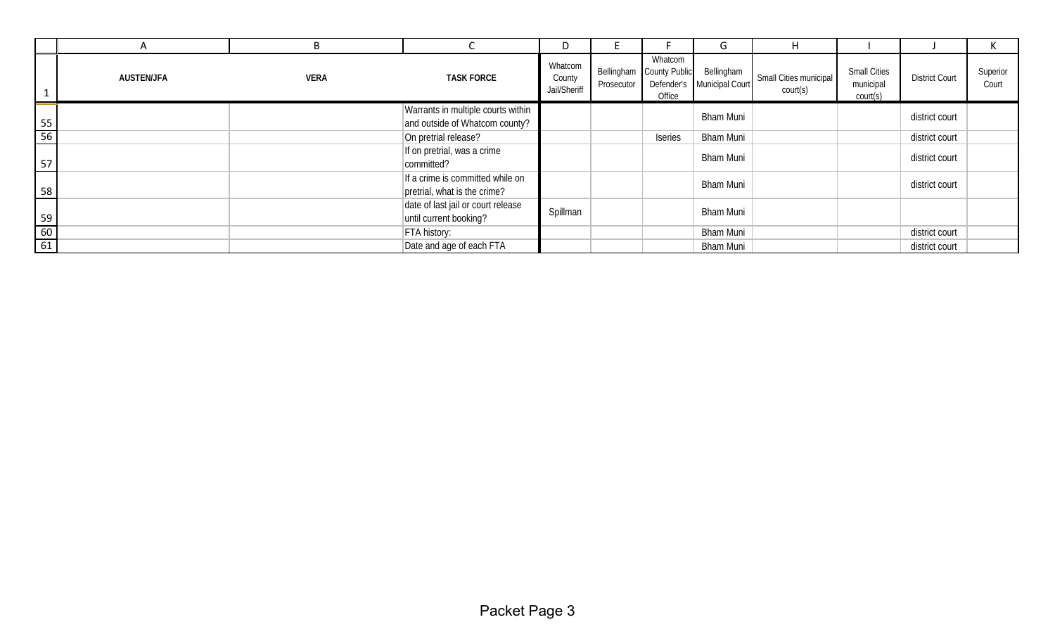|                                                             | A                 | B           |                                                                      | D                                 |            |                                               | G                                        | H                                  |                                              |                       |                   |
|-------------------------------------------------------------|-------------------|-------------|----------------------------------------------------------------------|-----------------------------------|------------|-----------------------------------------------|------------------------------------------|------------------------------------|----------------------------------------------|-----------------------|-------------------|
|                                                             | <b>AUSTEN/JFA</b> | <b>VERA</b> | <b>TASK FORCE</b>                                                    | Whatcom<br>County<br>Jail/Sheriff | Prosecutor | Whatcom<br>Bellingham County Public<br>Office | Bellingham<br>Defender's Municipal Court | Small Cities municipal<br>court(s) | <b>Small Cities</b><br>municipal<br>court(s) | <b>District Court</b> | Superior<br>Court |
| $\frac{55}{56}$                                             |                   |             | Warrants in multiple courts within<br>and outside of Whatcom county? |                                   |            |                                               | <b>Bham Muni</b>                         |                                    |                                              | district court        |                   |
|                                                             |                   |             | On pretrial release?                                                 |                                   |            | Iseries                                       | <b>Bham Muni</b>                         |                                    |                                              | district court        |                   |
| 57                                                          |                   |             | If on pretrial, was a crime<br>committed?                            |                                   |            |                                               | <b>Bham Muni</b>                         |                                    |                                              | district court        |                   |
| 58                                                          |                   |             | If a crime is committed while on<br>pretrial, what is the crime?     |                                   |            |                                               | <b>Bham Muni</b>                         |                                    |                                              | district court        |                   |
|                                                             |                   |             | date of last jail or court release<br>until current booking?         | Spillman                          |            |                                               | <b>Bham Muni</b>                         |                                    |                                              |                       |                   |
| $\begin{array}{r} 59 \\ \hline 60 \\ \hline 61 \end{array}$ |                   |             | FTA history:                                                         |                                   |            |                                               | <b>Bham Muni</b>                         |                                    |                                              | district court        |                   |
|                                                             |                   |             | Date and age of each FTA                                             |                                   |            |                                               | <b>Bham Muni</b>                         |                                    |                                              | district court        |                   |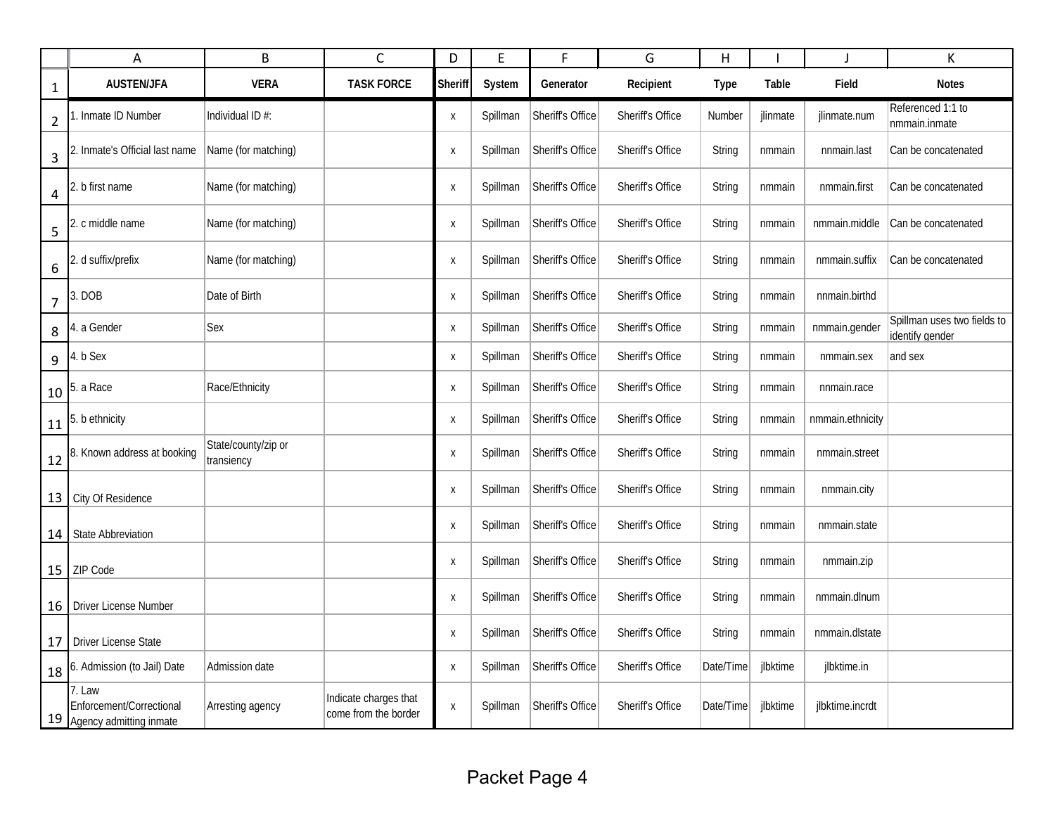|                | A                                                                                                                            | B                                 | $\mathsf{C}$                                  | D       | E        | F                | G                | $\mathsf{H}$ |          |                  | К                                              |
|----------------|------------------------------------------------------------------------------------------------------------------------------|-----------------------------------|-----------------------------------------------|---------|----------|------------------|------------------|--------------|----------|------------------|------------------------------------------------|
| 1              | <b>AUSTEN/JFA</b>                                                                                                            | <b>VERA</b>                       | <b>TASK FORCE</b>                             | Sheriff | System   | Generator        | Recipient        | <b>Type</b>  | Table    | Field            | <b>Notes</b>                                   |
| 2              | 1. Inmate ID Number                                                                                                          | Individual ID #:                  |                                               | Χ       | Spillman | Sheriff's Office | Sheriff's Office | Number       | jlinmate | jlinmate.num     | Referenced 1:1 to<br>nmmain.inmate             |
| 3              | 2. Inmate's Official last name                                                                                               | Name (for matching)               |                                               | X       | Spillman | Sheriff's Office | Sheriff's Office | String       | nmmain   | nnmain.last      | Can be concatenated                            |
| 4              | 2. b first name                                                                                                              | Name (for matching)               |                                               | Χ       | Spillman | Sheriff's Office | Sheriff's Office | String       | nmmain   | nmmain.first     | Can be concatenated                            |
| 5              | 2. c middle name                                                                                                             | Name (for matching)               |                                               | Χ       | Spillman | Sheriff's Office | Sheriff's Office | String       | nmmain   | nmmain.middle    | Can be concatenated                            |
| 6              | 2. d suffix/prefix                                                                                                           | Name (for matching)               |                                               | Χ       | Spillman | Sheriff's Office | Sheriff's Office | String       | nmmain   | nmmain.suffix    | Can be concatenated                            |
| $\overline{7}$ | 3. DOB                                                                                                                       | Date of Birth                     |                                               | X       | Spillman | Sheriff's Office | Sheriff's Office | String       | nmmain   | nnmain.birthd    |                                                |
| 8              | 4. a Gender                                                                                                                  | Sex                               |                                               | X       | Spillman | Sheriff's Office | Sheriff's Office | String       | nmmain   | nmmain.gender    | Spillman uses two fields to<br>identify gender |
| $9\,$          | 4. b Sex                                                                                                                     |                                   |                                               | X       | Spillman | Sheriff's Office | Sheriff's Office | String       | nmmain   | nmmain.sex       | and sex                                        |
|                | $10^{5. a Race}$                                                                                                             | Race/Ethnicity                    |                                               | Χ       | Spillman | Sheriff's Office | Sheriff's Office | String       | nmmain   | nnmain.race      |                                                |
|                | $11$ $\left  \begin{smallmatrix} 5. & b & e{t}h{n} & c{t} \\ 0. & 0 & 0 & c{t} \\ 0. & 0. & 0 & 0 \end{smallmatrix} \right $ |                                   |                                               | Х       | Spillman | Sheriff's Office | Sheriff's Office | String       | nmmain   | nmmain.ethnicity |                                                |
|                | 12 8. Known address at booking                                                                                               | State/county/zip or<br>transiency |                                               | Χ       | Spillman | Sheriff's Office | Sheriff's Office | String       | nmmain   | nmmain.street    |                                                |
|                | 13 City Of Residence                                                                                                         |                                   |                                               | Χ       | Spillman | Sheriff's Office | Sheriff's Office | String       | nmmain   | nmmain.city      |                                                |
|                | 14   State Abbreviation                                                                                                      |                                   |                                               | X       | Spillman | Sheriff's Office | Sheriff's Office | String       | nmmain   | nmmain.state     |                                                |
|                | 15 ZIP Code                                                                                                                  |                                   |                                               | X       | Spillman | Sheriff's Office | Sheriff's Office | String       | nmmain   | nmmain.zip       |                                                |
|                | 16 Driver License Number                                                                                                     |                                   |                                               | Χ       | Spillman | Sheriff's Office | Sheriff's Office | String       | nmmain   | nmmain.dlnum     |                                                |
|                | 17 Driver License State                                                                                                      |                                   |                                               | Χ       | Spillman | Sheriff's Office | Sheriff's Office | String       | nmmain   | nmmain.dlstate   |                                                |
|                | 18 6. Admission (to Jail) Date                                                                                               | Admission date                    |                                               | Χ       | Spillman | Sheriff's Office | Sheriff's Office | Date/Time    | jlbktime | jlbktime.in      |                                                |
|                | 7. Law<br>Enforcement/Correctional<br>19 Agency admitting inmate                                                             | Arresting agency                  | Indicate charges that<br>come from the border | X       | Spillman | Sheriff's Office | Sheriff's Office | Date/Time    | jlbktime | jlbktime.incrdt  |                                                |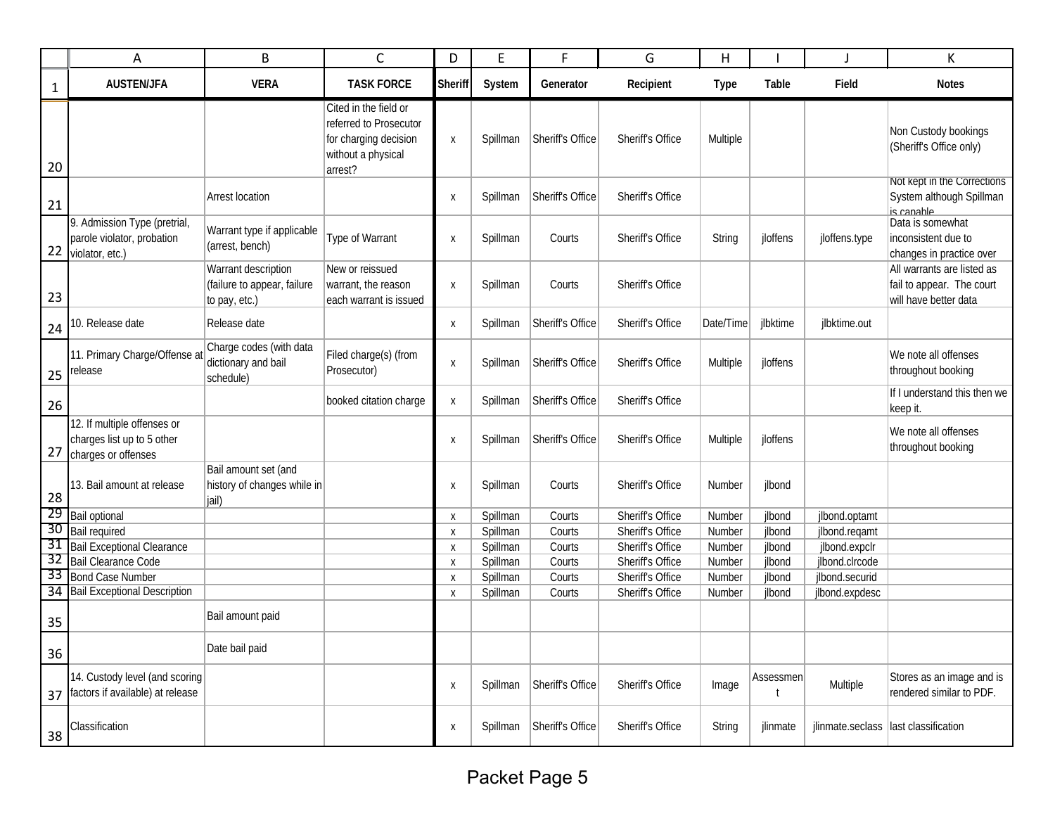|    | Α                                                                                | B                                                                   | C                                                                                                         | D                            | E                    | F                | G                                    | Н                |                  |                                 | K                                                                                |
|----|----------------------------------------------------------------------------------|---------------------------------------------------------------------|-----------------------------------------------------------------------------------------------------------|------------------------------|----------------------|------------------|--------------------------------------|------------------|------------------|---------------------------------|----------------------------------------------------------------------------------|
| 1  | <b>AUSTEN/JFA</b>                                                                | <b>VERA</b>                                                         | <b>TASK FORCE</b>                                                                                         | Sheriff                      | System               | Generator        | Recipient                            | <b>Type</b>      | Table            | Field                           | <b>Notes</b>                                                                     |
| 20 |                                                                                  |                                                                     | Cited in the field or<br>referred to Prosecutor<br>for charging decision<br>without a physical<br>arrest? | X                            | Spillman             | Sheriff's Office | Sheriff's Office                     | Multiple         |                  |                                 | Non Custody bookings<br>(Sheriff's Office only)                                  |
| 21 |                                                                                  | <b>Arrest location</b>                                              |                                                                                                           | X                            | Spillman             | Sheriff's Office | Sheriff's Office                     |                  |                  |                                 | Not kept in the Corrections<br>System although Spillman<br>is canable            |
| 22 | 9. Admission Type (pretrial,<br>parole violator, probation<br>violator, etc.)    | Warrant type if applicable<br>(arrest, bench)                       | Type of Warrant                                                                                           | X                            | Spillman             | Courts           | Sheriff's Office                     | String           | jloffens         | jloffens.type                   | Data is somewhat<br>inconsistent due to<br>changes in practice over              |
| 23 |                                                                                  | Warrant description<br>(failure to appear, failure<br>to pay, etc.) | New or reissued<br>warrant, the reason<br>each warrant is issued                                          | $\mathsf{X}$                 | Spillman             | Courts           | Sheriff's Office                     |                  |                  |                                 | All warrants are listed as<br>fail to appear. The court<br>will have better data |
| 24 | 10. Release date                                                                 | Release date                                                        |                                                                                                           | $\mathsf{X}$                 | Spillman             | Sheriff's Office | Sheriff's Office                     | Date/Time        | jlbktime         | jlbktime.out                    |                                                                                  |
| 25 | 11. Primary Charge/Offense a<br>release                                          | Charge codes (with data<br>dictionary and bail<br>schedule)         | Filed charge(s) (from<br>Prosecutor)                                                                      | X                            | Spillman             | Sheriff's Office | Sheriff's Office                     | Multiple         | jloffens         |                                 | We note all offenses<br>throughout booking                                       |
| 26 |                                                                                  |                                                                     | booked citation charge                                                                                    | $\mathsf{X}$                 | Spillman             | Sheriff's Office | Sheriff's Office                     |                  |                  |                                 | If I understand this then we<br>keep it.                                         |
| 27 | 12. If multiple offenses or<br>charges list up to 5 other<br>charges or offenses |                                                                     |                                                                                                           | X                            | Spillman             | Sheriff's Office | Sheriff's Office                     | Multiple         | jloffens         |                                 | We note all offenses<br>throughout booking                                       |
| 28 | 13. Bail amount at release                                                       | Bail amount set (and<br>history of changes while in<br>jail)        |                                                                                                           | X                            | Spillman             | Courts           | Sheriff's Office                     | Number           | jlbond           |                                 |                                                                                  |
|    | 29 Bail optional                                                                 |                                                                     |                                                                                                           | X                            | Spillman             | Courts           | Sheriff's Office                     | Number           | jlbond           | jlbond.optamt                   |                                                                                  |
| 31 | 30 Bail required                                                                 |                                                                     |                                                                                                           | $\mathsf{X}$                 | Spillman             | Courts           | Sheriff's Office                     | Number           | jlbond           | jlbond.reqamt                   |                                                                                  |
|    | <b>Bail Exceptional Clearance</b><br>32 Bail Clearance Code                      |                                                                     |                                                                                                           | $\mathsf{X}$<br>$\mathsf{X}$ | Spillman<br>Spillman | Courts<br>Courts | Sheriff's Office<br>Sheriff's Office | Number<br>Number | jlbond<br>jlbond | jlbond.expclr<br>jlbond.clrcode |                                                                                  |
| 33 | <b>Bond Case Number</b>                                                          |                                                                     |                                                                                                           | $\mathsf{X}$                 | Spillman             | Courts           | Sheriff's Office                     | Number           | jlbond           | jlbond.securid                  |                                                                                  |
|    | 34 Bail Exceptional Description                                                  |                                                                     |                                                                                                           | X                            | Spillman             | Courts           | Sheriff's Office                     | Number           | jlbond           | jlbond.expdesc                  |                                                                                  |
| 35 |                                                                                  | Bail amount paid                                                    |                                                                                                           |                              |                      |                  |                                      |                  |                  |                                 |                                                                                  |
| 36 |                                                                                  | Date bail paid                                                      |                                                                                                           |                              |                      |                  |                                      |                  |                  |                                 |                                                                                  |
| 37 | 14. Custody level (and scoring<br>factors if available) at release               |                                                                     |                                                                                                           | X                            | Spillman             | Sheriff's Office | Sheriff's Office                     | Image            | Assessmen        | Multiple                        | Stores as an image and is<br>rendered similar to PDF.                            |
| 38 | Classification                                                                   |                                                                     |                                                                                                           | X                            | Spillman             | Sheriff's Office | Sheriff's Office                     | String           | jlinmate         |                                 | jlinmate.seclass   last classification                                           |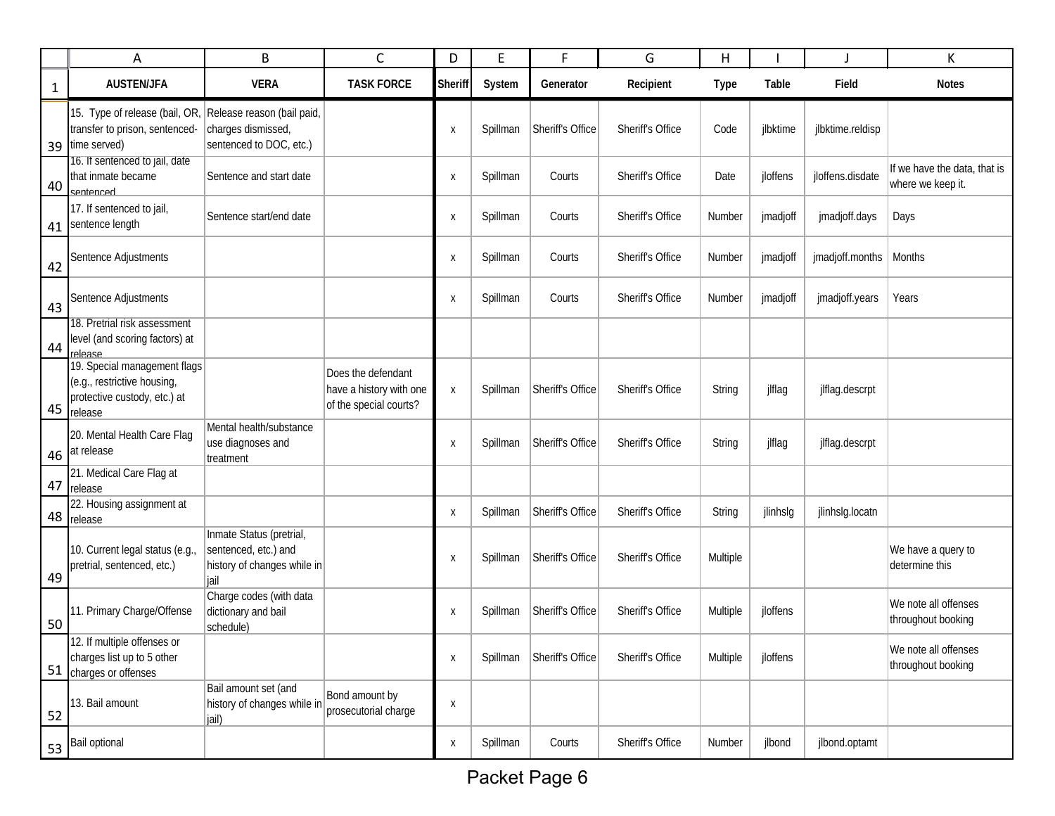|    | A                                                                                                         | B                                                                                       | C                                                                       | D              | E        | F                | G                | $\mathsf{H}$ |          |                  | К                                                 |
|----|-----------------------------------------------------------------------------------------------------------|-----------------------------------------------------------------------------------------|-------------------------------------------------------------------------|----------------|----------|------------------|------------------|--------------|----------|------------------|---------------------------------------------------|
| 1  | <b>AUSTEN/JFA</b>                                                                                         | <b>VERA</b>                                                                             | <b>TASK FORCE</b>                                                       | <b>Sheriff</b> | System   | Generator        | Recipient        | <b>Type</b>  | Table    | Field            | <b>Notes</b>                                      |
|    | 15. Type of release (bail, OR<br>transfer to prison, sentenced-<br>39 time served)                        | Release reason (bail paid,<br>charges dismissed,<br>sentenced to DOC, etc.)             |                                                                         | X              | Spillman | Sheriff's Office | Sheriff's Office | Code         | jlbktime | jlbktime.reldisp |                                                   |
| 40 | 16. If sentenced to jail, date<br>that inmate became<br>hennehes                                          | Sentence and start date                                                                 |                                                                         | X              | Spillman | Courts           | Sheriff's Office | Date         | jloffens | jloffens.disdate | If we have the data, that is<br>where we keep it. |
|    | 17. If sentenced to jail,<br>41 sentence length                                                           | Sentence start/end date                                                                 |                                                                         | X              | Spillman | Courts           | Sheriff's Office | Number       | jmadjoff | jmadjoff.days    | Days                                              |
| 42 | Sentence Adjustments                                                                                      |                                                                                         |                                                                         | х              | Spillman | Courts           | Sheriff's Office | Number       | jmadjoff | jmadjoff.months  | <b>Months</b>                                     |
| 43 | Sentence Adjustments                                                                                      |                                                                                         |                                                                         | X              | Spillman | Courts           | Sheriff's Office | Number       | jmadjoff | jmadjoff.years   | Years                                             |
| 44 | 18. Pretrial risk assessment<br>level (and scoring factors) at<br>release                                 |                                                                                         |                                                                         |                |          |                  |                  |              |          |                  |                                                   |
|    | 19. Special management flags<br>(e.g., restrictive housing,<br>protective custody, etc.) at<br>45 release |                                                                                         | Does the defendant<br>have a history with one<br>of the special courts? | Χ              | Spillman | Sheriff's Office | Sheriff's Office | String       | jlflag   | jlflag.descrpt   |                                                   |
|    | 20. Mental Health Care Flag<br>46 at release                                                              | Mental health/substance<br>use diagnoses and<br>treatment                               |                                                                         | X              | Spillman | Sheriff's Office | Sheriff's Office | String       | jlflag   | jlflag.descrpt   |                                                   |
| 47 | 21. Medical Care Flag at<br>release                                                                       |                                                                                         |                                                                         |                |          |                  |                  |              |          |                  |                                                   |
|    | 22. Housing assignment at<br>48 release                                                                   |                                                                                         |                                                                         | X              | Spillman | Sheriff's Office | Sheriff's Office | String       | jlinhslg | jlinhslg.locatn  |                                                   |
| 49 | 10. Current legal status (e.g.,<br>pretrial, sentenced, etc.)                                             | Inmate Status (pretrial,<br>sentenced, etc.) and<br>history of changes while in<br>jail |                                                                         | X              | Spillman | Sheriff's Office | Sheriff's Office | Multiple     |          |                  | We have a query to<br>determine this              |
| 50 | 11. Primary Charge/Offense                                                                                | Charge codes (with data<br>dictionary and bail<br>schedule)                             |                                                                         | X              | Spillman | Sheriff's Office | Sheriff's Office | Multiple     | jloffens |                  | We note all offenses<br>throughout booking        |
|    | 12. If multiple offenses or<br>charges list up to 5 other<br>51 charges or offenses                       |                                                                                         |                                                                         | Χ              | Spillman | Sheriff's Office | Sheriff's Office | Multiple     | jloffens |                  | We note all offenses<br>throughout booking        |
| 52 | 13. Bail amount                                                                                           | Bail amount set (and<br>history of changes while in<br>jail)                            | Bond amount by<br>prosecutorial charge                                  | Χ              |          |                  |                  |              |          |                  |                                                   |
|    | $\frac{53}{ }$ Bail optional                                                                              |                                                                                         |                                                                         | Χ              | Spillman | Courts           | Sheriff's Office | Number       | jlbond   | jlbond.optamt    |                                                   |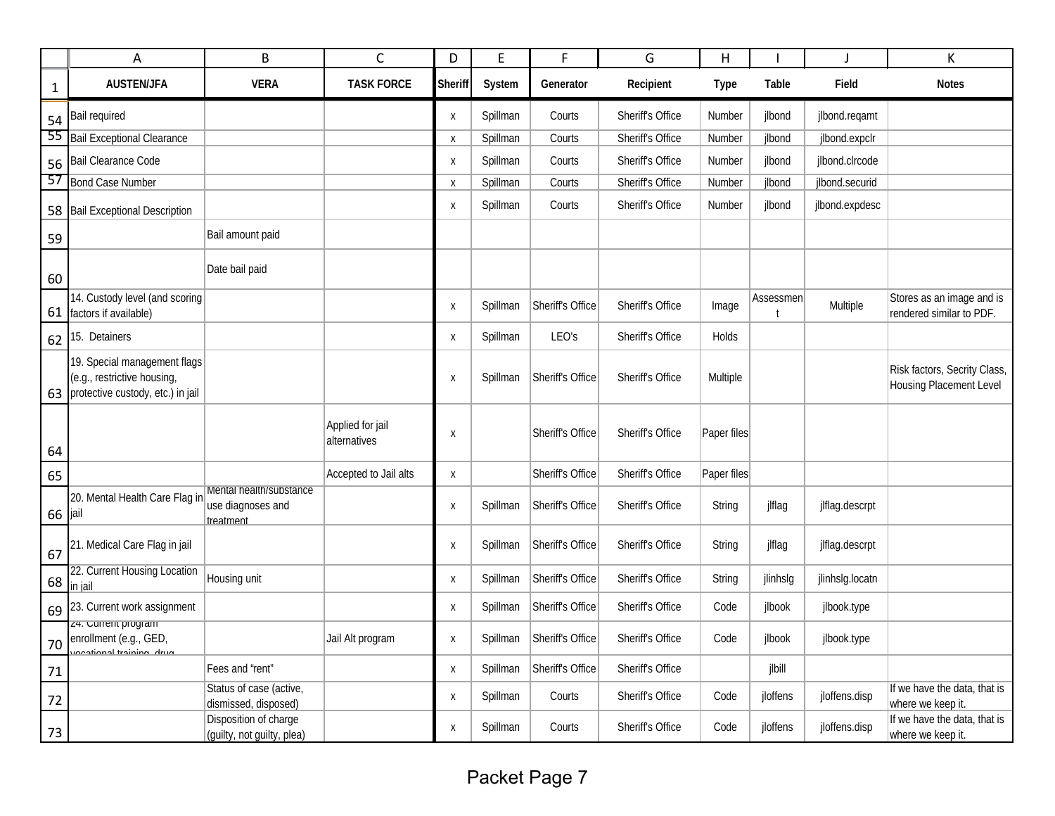|              | Α                                                                                                | B                                                         | C                                | D                         | E        | F                | G                       | $\mathsf{H}$ |           |                 | Κ                                                       |
|--------------|--------------------------------------------------------------------------------------------------|-----------------------------------------------------------|----------------------------------|---------------------------|----------|------------------|-------------------------|--------------|-----------|-----------------|---------------------------------------------------------|
| $\mathbf{1}$ | <b>AUSTEN/JFA</b>                                                                                | <b>VERA</b>                                               | <b>TASK FORCE</b>                | Sheriff                   | System   | Generator        | Recipient               | <b>Type</b>  | Table     | Field           | <b>Notes</b>                                            |
| 54           | <b>Bail required</b>                                                                             |                                                           |                                  | Χ                         | Spillman | Courts           | Sheriff's Office        | Number       | jlbond    | jlbond.reqamt   |                                                         |
|              | 55 Bail Exceptional Clearance                                                                    |                                                           |                                  | X                         | Spillman | Courts           | Sheriff's Office        | Number       | jlbond    | jlbond.expclr   |                                                         |
| 56           | Bail Clearance Code                                                                              |                                                           |                                  | X                         | Spillman | Courts           | Sheriff's Office        | Number       | jlbond    | jlbond.clrcode  |                                                         |
| 57           | <b>Bond Case Number</b>                                                                          |                                                           |                                  | X                         | Spillman | Courts           | Sheriff's Office        | Number       | jlbond    | jlbond.securid  |                                                         |
|              | 58 Bail Exceptional Description                                                                  |                                                           |                                  | X                         | Spillman | Courts           | Sheriff's Office        | Number       | jlbond    | jlbond.expdesc  |                                                         |
| 59           |                                                                                                  | Bail amount paid                                          |                                  |                           |          |                  |                         |              |           |                 |                                                         |
| 60           |                                                                                                  | Date bail paid                                            |                                  |                           |          |                  |                         |              |           |                 |                                                         |
| 61           | 14. Custody level (and scoring<br>factors if available)                                          |                                                           |                                  | $\boldsymbol{\mathsf{X}}$ | Spillman | Sheriff's Office | Sheriff's Office        | Image        | Assessmen | Multiple        | Stores as an image and is<br>rendered similar to PDF.   |
| 62           | 15. Detainers                                                                                    |                                                           |                                  | X                         | Spillman | LEO's            | Sheriff's Office        | Holds        |           |                 |                                                         |
| 63           | 19. Special management flags<br>(e.g., restrictive housing,<br>protective custody, etc.) in jail |                                                           |                                  | X                         | Spillman | Sheriff's Office | Sheriff's Office        | Multiple     |           |                 | Risk factors, Secrity Class,<br>Housing Placement Level |
| 64           |                                                                                                  |                                                           | Applied for jail<br>alternatives | Χ                         |          | Sheriff's Office | Sheriff's Office        | Paper files  |           |                 |                                                         |
| 65           |                                                                                                  |                                                           | Accepted to Jail alts            | X                         |          | Sheriff's Office | Sheriff's Office        | Paper files  |           |                 |                                                         |
| 66 jail      | 20. Mental Health Care Flag in                                                                   | Mental health/substance<br>use diagnoses and<br>treatment |                                  | $\boldsymbol{\mathsf{X}}$ | Spillman | Sheriff's Office | <b>Sheriff's Office</b> | String       | jlflag    | jlflag.descrpt  |                                                         |
| 67           | 21. Medical Care Flag in jail                                                                    |                                                           |                                  | X                         | Spillman | Sheriff's Office | Sheriff's Office        | String       | jlflag    | jlflag.descrpt  |                                                         |
| 68           | 22. Current Housing Location<br>in jail                                                          | Housing unit                                              |                                  | X                         | Spillman | Sheriff's Office | Sheriff's Office        | String       | jlinhslg  | jlinhslg.locatn |                                                         |
| 69           | 23. Current work assignment                                                                      |                                                           |                                  | X                         | Spillman | Sheriff's Office | Sheriff's Office        | Code         | jlbook    | jlbook.type     |                                                         |
| 70           | z4. Current program<br>enrollment (e.g., GED,<br>iocational training drug                        |                                                           | Jail Alt program                 | X                         | Spillman | Sheriff's Office | Sheriff's Office        | Code         | jlbook    | jlbook.type     |                                                         |
| 71           |                                                                                                  | Fees and "rent"                                           |                                  | X                         | Spillman | Sheriff's Office | Sheriff's Office        |              | jlbill    |                 |                                                         |
| 72           |                                                                                                  | Status of case (active,<br>dismissed, disposed)           |                                  | X                         | Spillman | Courts           | Sheriff's Office        | Code         | jloffens  | jloffens.disp   | If we have the data, that is<br>where we keep it.       |
| 73           |                                                                                                  | Disposition of charge<br>(guilty, not guilty, plea)       |                                  | X                         | Spillman | Courts           | Sheriff's Office        | Code         | jloffens  | jloffens.disp   | If we have the data, that is<br>where we keep it.       |